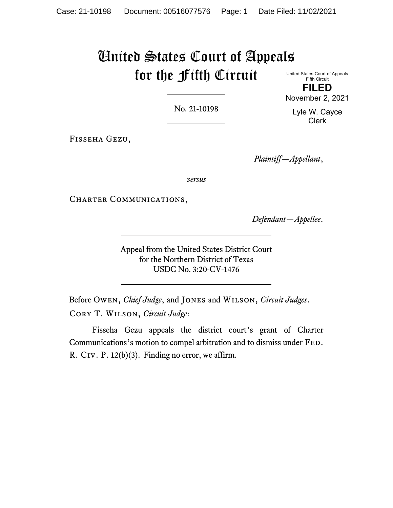# United States Court of Appeals for the Fifth Circuit

United States Court of Appeals Fifth Circuit **FILED** November 2, 2021

No. 21-10198

Lyle W. Cayce Clerk

Fisseha Gezu,

*Plaintiff—Appellant*,

*versus*

CHARTER COMMUNICATIONS,

*Defendant—Appellee*.

Appeal from the United States District Court for the Northern District of Texas USDC No. 3:20-CV-1476

Before Owen, *Chief Judge*, and Jones and Wilson, *Circuit Judges*. Cory T. Wilson, *Circuit Judge*:

Fisseha Gezu appeals the district court's grant of Charter Communications's motion to compel arbitration and to dismiss under Fed. R. Civ. P. 12(b)(3). Finding no error, we affirm.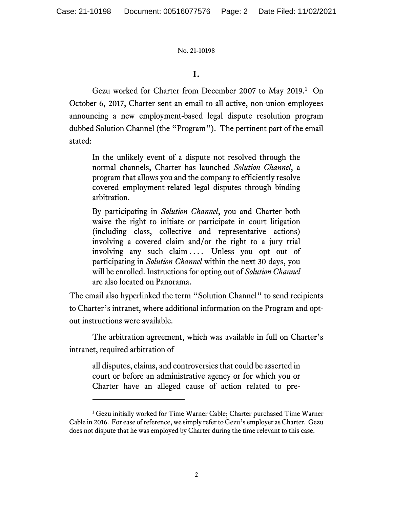## **I.**

Gezu worked for Charter from December 2007 to May 20[1](#page-1-0)9.<sup>1</sup> On October 6, 2017, Charter sent an email to all active, non-union employees announcing a new employment-based legal dispute resolution program dubbed Solution Channel (the "Program"). The pertinent part of the email stated:

In the unlikely event of a dispute not resolved through the normal channels, Charter has launched *Solution Channel*, a program that allows you and the company to efficiently resolve covered employment-related legal disputes through binding arbitration.

By participating in *Solution Channel*, you and Charter both waive the right to initiate or participate in court litigation (including class, collective and representative actions) involving a covered claim and/or the right to a jury trial involving any such claim .... Unless you opt out of participating in *Solution Channel* within the next 30 days, you will be enrolled. Instructions for opting out of *Solution Channel* are also located on Panorama.

The email also hyperlinked the term "Solution Channel" to send recipients to Charter's intranet, where additional information on the Program and optout instructions were available.

The arbitration agreement, which was available in full on Charter's intranet, required arbitration of

all disputes, claims, and controversies that could be asserted in court or before an administrative agency or for which you or Charter have an alleged cause of action related to pre-

<span id="page-1-0"></span><sup>&</sup>lt;sup>1</sup> Gezu initially worked for Time Warner Cable; Charter purchased Time Warner Cable in 2016. For ease of reference, we simply refer to Gezu's employer as Charter. Gezu does not dispute that he was employed by Charter during the time relevant to this case.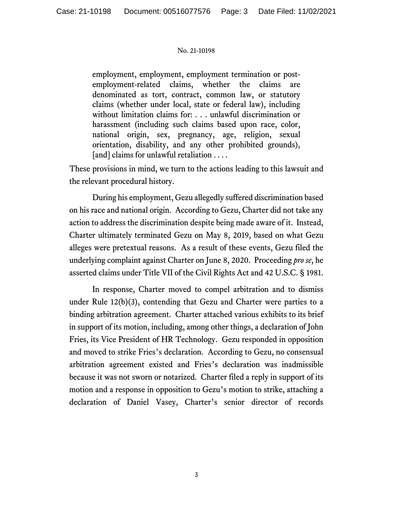employment, employment, employment termination or postemployment-related claims, whether the claims are denominated as tort, contract, common law, or statutory claims (whether under local, state or federal law), including without limitation claims for: . . . unlawful discrimination or harassment (including such claims based upon race, color, national origin, sex, pregnancy, age, religion, sexual orientation, disability, and any other prohibited grounds), [and] claims for unlawful retaliation . . . .

These provisions in mind, we turn to the actions leading to this lawsuit and the relevant procedural history.

During his employment, Gezu allegedly suffered discrimination based on his race and national origin. According to Gezu, Charter did not take any action to address the discrimination despite being made aware of it. Instead, Charter ultimately terminated Gezu on May 8, 2019, based on what Gezu alleges were pretextual reasons. As a result of these events, Gezu filed the underlying complaint against Charter on June 8, 2020. Proceeding *pro se*, he asserted claims under Title VII of the Civil Rights Act and 42 U.S.C. § 1981.

In response, Charter moved to compel arbitration and to dismiss under Rule 12(b)(3), contending that Gezu and Charter were parties to a binding arbitration agreement. Charter attached various exhibits to its brief in support of its motion, including, among other things, a declaration of John Fries, its Vice President of HR Technology. Gezu responded in opposition and moved to strike Fries's declaration. According to Gezu, no consensual arbitration agreement existed and Fries's declaration was inadmissible because it was not sworn or notarized. Charter filed a reply in support of its motion and a response in opposition to Gezu's motion to strike, attaching a declaration of Daniel Vasey, Charter's senior director of records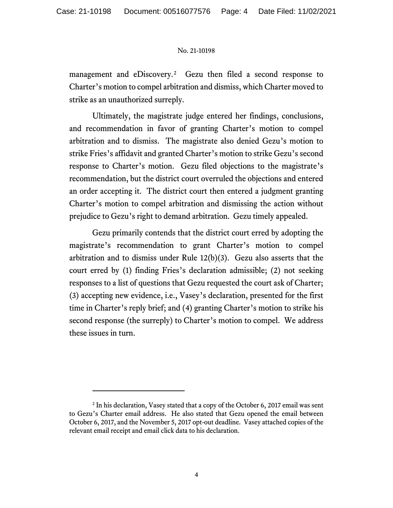management and eDiscovery.<sup>2</sup> Gezu then filed a second response to Charter's motion to compel arbitration and dismiss, which Charter moved to strike as an unauthorized surreply.

Ultimately, the magistrate judge entered her findings, conclusions, and recommendation in favor of granting Charter's motion to compel arbitration and to dismiss. The magistrate also denied Gezu's motion to strike Fries's affidavit and granted Charter's motion to strike Gezu's second response to Charter's motion. Gezu filed objections to the magistrate's recommendation, but the district court overruled the objections and entered an order accepting it. The district court then entered a judgment granting Charter's motion to compel arbitration and dismissing the action without prejudice to Gezu's right to demand arbitration. Gezu timely appealed.

Gezu primarily contends that the district court erred by adopting the magistrate's recommendation to grant Charter's motion to compel arbitration and to dismiss under Rule 12(b)(3). Gezu also asserts that the court erred by (1) finding Fries's declaration admissible; (2) not seeking responses to a list of questions that Gezu requested the court ask of Charter; (3) accepting new evidence, i.e., Vasey's declaration, presented for the first time in Charter's reply brief; and (4) granting Charter's motion to strike his second response (the surreply) to Charter's motion to compel. We address these issues in turn.

<span id="page-3-0"></span><sup>&</sup>lt;sup>2</sup> In his declaration, Vasey stated that a copy of the October 6, 2017 email was sent to Gezu's Charter email address. He also stated that Gezu opened the email between October 6, 2017, and the November 5, 2017 opt-out deadline. Vasey attached copies of the relevant email receipt and email click data to his declaration.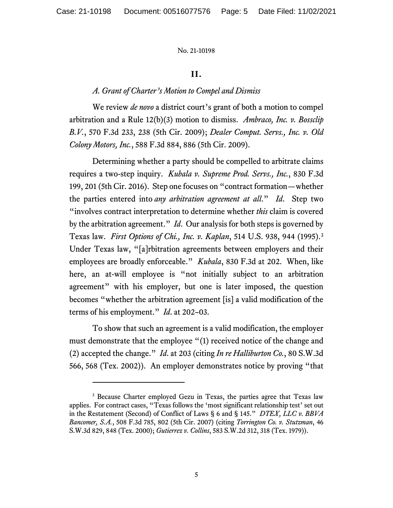## **II.**

## *A. Grant of Charter's Motion to Compel and Dismiss*

We review *de novo* a district court's grant of both a motion to compel arbitration and a Rule 12(b)(3) motion to dismiss. *Ambraco, Inc. v. Bossclip B.V.*, 570 F.3d 233, 238 (5th Cir. 2009); *Dealer Comput. Servs., Inc. v. Old Colony Motors, Inc.*, 588 F.3d 884, 886 (5th Cir. 2009).

Determining whether a party should be compelled to arbitrate claims requires a two-step inquiry. *Kubala v. Supreme Prod. Servs., Inc.*, 830 F.3d 199, 201 (5th Cir. 2016). Step one focuses on "contract formation—whether the parties entered into *any arbitration agreement at all*." *Id*. Step two "involves contract interpretation to determine whether *this* claim is covered by the arbitration agreement." *Id*. Our analysis for both steps is governed by Texas law. *First Options of Chi., Inc. v. Kaplan*, 514 U.S. 938, 944 (1995). [3](#page-4-0) Under Texas law, "[a]rbitration agreements between employers and their employees are broadly enforceable." *Kubala*, 830 F.3d at 202. When, like here, an at-will employee is "not initially subject to an arbitration agreement" with his employer, but one is later imposed, the question becomes "whether the arbitration agreement [is] a valid modification of the terms of his employment." *Id*. at 202–03.

To show that such an agreement is a valid modification, the employer must demonstrate that the employee "(1) received notice of the change and (2) accepted the change." *Id*. at 203 (citing *In re Halliburton Co.*, 80 S.W.3d 566, 568 (Tex. 2002)). An employer demonstrates notice by proving "that

<span id="page-4-0"></span><sup>&</sup>lt;sup>3</sup> Because Charter employed Gezu in Texas, the parties agree that Texas law applies. For contract cases, "Texas follows the 'most significant relationship test' set out in the Restatement (Second) of Conflict of Laws § 6 and § 145." *DTEX, LLC v. BBVA Bancomer, S.A.*, 508 F.3d 785, 802 (5th Cir. 2007) (citing *Torrington Co. v. Stutzman*, 46 S.W.3d 829, 848 (Tex. 2000); *Gutierrez v. Collins*, 583 S.W.2d 312, 318 (Tex. 1979)).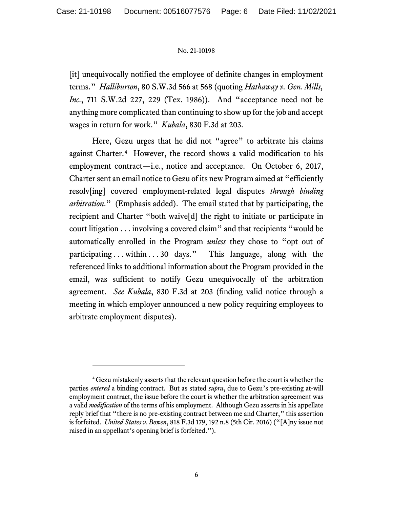[it] unequivocally notified the employee of definite changes in employment terms." *Halliburton*, 80 S.W.3d 566 at 568 (quoting *Hathaway v. Gen. Mills, Inc*., 711 S.W.2d 227, 229 (Tex. 1986)). And "acceptance need not be anything more complicated than continuing to show up for the job and accept wages in return for work." *Kubala*, 830 F.3d at 203.

Here, Gezu urges that he did not "agree" to arbitrate his claims against Charter. [4](#page-5-0) However, the record shows a valid modification to his employment contract—i.e., notice and acceptance. On October 6, 2017, Charter sent an email notice to Gezu of its new Program aimed at "efficiently resolv[ing] covered employment-related legal disputes *through binding arbitration*." (Emphasis added). The email stated that by participating, the recipient and Charter "both waive[d] the right to initiate or participate in court litigation . . . involving a covered claim" and that recipients "would be automatically enrolled in the Program *unless* they chose to "opt out of participating . . . within . . . 30 days." This language, along with the referenced links to additional information about the Program provided in the email, was sufficient to notify Gezu unequivocally of the arbitration agreement. *See Kubala*, 830 F.3d at 203 (finding valid notice through a meeting in which employer announced a new policy requiring employees to arbitrate employment disputes).

<span id="page-5-0"></span><sup>4</sup> Gezu mistakenly asserts that the relevant question before the court is whether the parties *entered* a binding contract. But as stated *supra*, due to Gezu's pre-existing at-will employment contract, the issue before the court is whether the arbitration agreement was a valid *modification* of the terms of his employment. Although Gezu asserts in his appellate reply brief that "there is no pre-existing contract between me and Charter," this assertion is forfeited. *United States v. Bowen*, 818 F.3d 179, 192 n.8 (5th Cir. 2016) ("[A]ny issue not raised in an appellant's opening brief is forfeited.").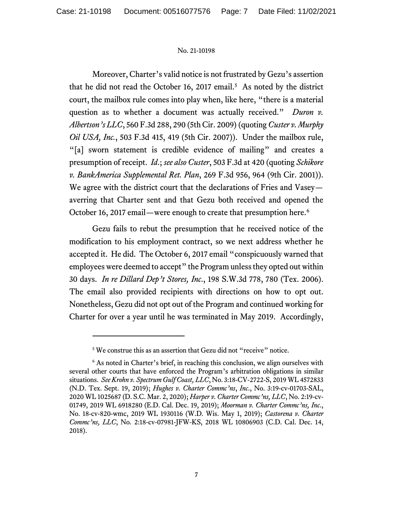Moreover, Charter's valid notice is not frustrated by Gezu's assertion that he did not read the October 16, 2017 email. [5](#page-6-0) As noted by the district court, the mailbox rule comes into play when, like here, "there is a material question as to whether a document was actually received." *Duron v. Albertson's LLC*, 560 F.3d 288, 290 (5th Cir. 2009) (quoting *Custer v. Murphy Oil USA, Inc.*, 503 F.3d 415, 419 (5th Cir. 2007)). Under the mailbox rule, "[a] sworn statement is credible evidence of mailing" and creates a presumption of receipt. *Id*.; *see also Custer*, 503 F.3d at 420 (quoting *Schikore v. BankAmerica Supplemental Ret. Plan*, 269 F.3d 956, 964 (9th Cir. 2001)). We agree with the district court that the declarations of Fries and Vasey averring that Charter sent and that Gezu both received and opened the October 16, 2017 email—were enough to create that presumption here. [6](#page-6-1)

Gezu fails to rebut the presumption that he received notice of the modification to his employment contract, so we next address whether he accepted it. He did. The October 6, 2017 email "conspicuously warned that employees were deemed to accept" the Program unless they opted out within 30 days. *In re Dillard Dep't Stores, Inc*., 198 S.W.3d 778, 780 (Tex. 2006). The email also provided recipients with directions on how to opt out. Nonetheless, Gezu did not opt out of the Program and continued working for Charter for over a year until he was terminated in May 2019. Accordingly,

<sup>&</sup>lt;sup>5</sup> We construe this as an assertion that Gezu did not "receive" notice.

<span id="page-6-1"></span><span id="page-6-0"></span><sup>&</sup>lt;sup>6</sup> As noted in Charter's brief, in reaching this conclusion, we align ourselves with several other courts that have enforced the Program's arbitration obligations in similar situations. *See Krohn v. Spectrum Gulf Coast, LLC*, No. 3:18-CV-2722-S, 2019 WL 4572833 (N.D. Tex. Sept. 19, 2019); *Hughes v. Charter Commc'ns*, *Inc*., No. 3:19-cv-01703-SAL, 2020 WL 1025687 (D. S.C. Mar. 2, 2020); *Harper v. Charter Commc'ns, LLC*, No. 2:19-cv-01749, 2019 WL 6918280 (E.D. Cal. Dec. 19, 2019); *Moorman v. Charter Commc'ns, Inc*., No. 18-cv-820-wmc, 2019 WL 1930116 (W.D. Wis. May 1, 2019); *Castorena v. Charter Commc'ns, LLC*, No. 2:18-cv-07981-JFW-KS, 2018 WL 10806903 (C.D. Cal. Dec. 14, 2018).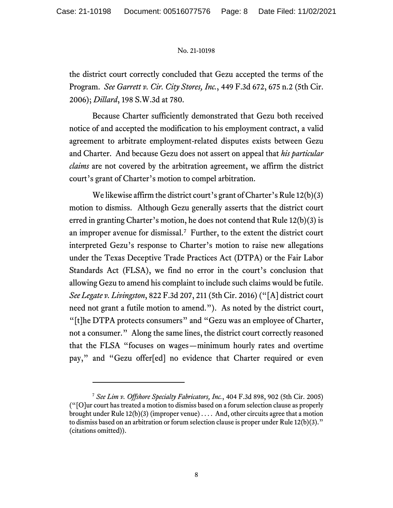the district court correctly concluded that Gezu accepted the terms of the Program. *See Garrett v. Cir. City Stores, Inc.*, 449 F.3d 672, 675 n.2 (5th Cir. 2006); *Dillard*, 198 S.W.3d at 780.

Because Charter sufficiently demonstrated that Gezu both received notice of and accepted the modification to his employment contract, a valid agreement to arbitrate employment-related disputes exists between Gezu and Charter. And because Gezu does not assert on appeal that *his particular claims* are not covered by the arbitration agreement, we affirm the district court's grant of Charter's motion to compel arbitration.

We likewise affirm the district court's grant of Charter's Rule 12(b)(3) motion to dismiss. Although Gezu generally asserts that the district court erred in granting Charter's motion, he does not contend that Rule 12(b)(3) is an improper avenue for dismissal.<sup>7</sup> Further, to the extent the district court interpreted Gezu's response to Charter's motion to raise new allegations under the Texas Deceptive Trade Practices Act (DTPA) or the Fair Labor Standards Act (FLSA), we find no error in the court's conclusion that allowing Gezu to amend his complaint to include such claims would be futile. *See Legate v. Livingston*, 822 F.3d 207, 211 (5th Cir. 2016) ("[A] district court need not grant a futile motion to amend."). As noted by the district court, "[t]he DTPA protects consumers" and "Gezu was an employee of Charter, not a consumer." Along the same lines, the district court correctly reasoned that the FLSA "focuses on wages—minimum hourly rates and overtime pay," and "Gezu offer[ed] no evidence that Charter required or even

<span id="page-7-0"></span><sup>7</sup> *See Lim v. Offshore Specialty Fabricators, Inc.*, 404 F.3d 898, 902 (5th Cir. 2005) ("[O]ur court has treated a motion to dismiss based on a forum selection clause as properly brought under Rule  $12(b)(3)$  (improper venue) .... And, other circuits agree that a motion to dismiss based on an arbitration or forum selection clause is proper under Rule 12(b)(3)." (citations omitted)).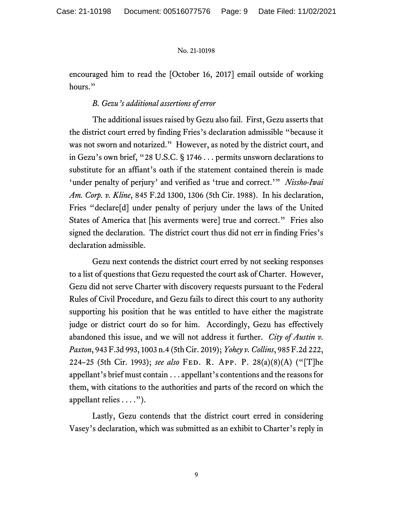encouraged him to read the [October 16, 2017] email outside of working hours."

## *B. Gezu's additional assertions of error*

The additional issues raised by Gezu also fail. First, Gezu asserts that the district court erred by finding Fries's declaration admissible "because it was not sworn and notarized." However, as noted by the district court, and in Gezu's own brief, "28 U.S.C. § 1746 . . . permits unsworn declarations to substitute for an affiant's oath if the statement contained therein is made 'under penalty of perjury' and verified as 'true and correct.'" *Nissho-Iwai Am. Corp. v. Kline*, 845 F.2d 1300, 1306 (5th Cir. 1988). In his declaration, Fries "declare[d] under penalty of perjury under the laws of the United States of America that [his averments were] true and correct." Fries also signed the declaration. The district court thus did not err in finding Fries's declaration admissible.

Gezu next contends the district court erred by not seeking responses to a list of questions that Gezu requested the court ask of Charter. However, Gezu did not serve Charter with discovery requests pursuant to the Federal Rules of Civil Procedure, and Gezu fails to direct this court to any authority supporting his position that he was entitled to have either the magistrate judge or district court do so for him. Accordingly, Gezu has effectively abandoned this issue, and we will not address it further. *City of Austin v. Paxton*, 943 F.3d 993, 1003 n.4 (5th Cir. 2019); *Yohey v. Collins*, 985 F.2d 222, 224–25 (5th Cir. 1993); *see also* Fed. R. App. P. 28(a)(8)(A) ("[T]he appellant's brief must contain . . . appellant's contentions and the reasons for them, with citations to the authorities and parts of the record on which the appellant relies . . . .").

Lastly, Gezu contends that the district court erred in considering Vasey's declaration, which was submitted as an exhibit to Charter's reply in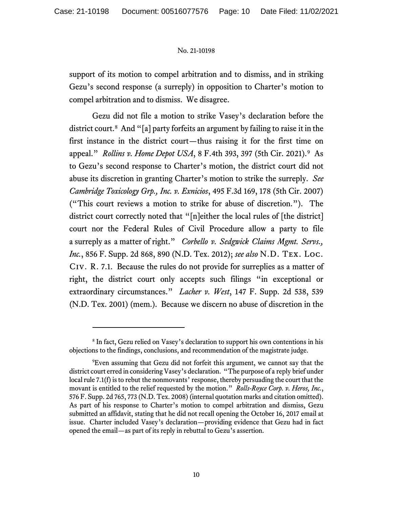support of its motion to compel arbitration and to dismiss, and in striking Gezu's second response (a surreply) in opposition to Charter's motion to compel arbitration and to dismiss. We disagree.

Gezu did not file a motion to strike Vasey's declaration before the district court. [8](#page-9-0) And "[a] party forfeits an argument by failing to raise it in the first instance in the district court—thus raising it for the first time on appeal." *Rollins v. Home Depot USA*, 8 F.4th 393, 397 (5th Cir. 2021). [9](#page-9-1) As to Gezu's second response to Charter's motion, the district court did not abuse its discretion in granting Charter's motion to strike the surreply. *See Cambridge Toxicology Grp., Inc. v. Exnicios*, 495 F.3d 169, 178 (5th Cir. 2007) ("This court reviews a motion to strike for abuse of discretion."). The district court correctly noted that "[n]either the local rules of [the district] court nor the Federal Rules of Civil Procedure allow a party to file a surreply as a matter of right." *Corbello v. Sedgwick Claims Mgmt. Servs., Inc.*, 856 F. Supp. 2d 868, 890 (N.D. Tex. 2012); *see also* N.D. Tex. Loc. Civ. R. 7.1. Because the rules do not provide for surreplies as a matter of right, the district court only accepts such filings "in exceptional or extraordinary circumstances." *Lacher v. West*, 147 F. Supp. 2d 538, 539 (N.D. Tex. 2001) (mem.). Because we discern no abuse of discretion in the

<span id="page-9-0"></span><sup>&</sup>lt;sup>8</sup> In fact, Gezu relied on Vasey's declaration to support his own contentions in his objections to the findings, conclusions, and recommendation of the magistrate judge.

<span id="page-9-1"></span><sup>9</sup> Even assuming that Gezu did not forfeit this argument, we cannot say that the district court erred in considering Vasey's declaration. "The purpose of a reply brief under local rule 7.1(f) is to rebut the nonmovants' response, thereby persuading the court that the movant is entitled to the relief requested by the motion." *Rolls-Royce Corp. v. Heros, Inc.*, 576 F. Supp. 2d 765, 773 (N.D. Tex. 2008) (internal quotation marks and citation omitted). As part of his response to Charter's motion to compel arbitration and dismiss, Gezu submitted an affidavit, stating that he did not recall opening the October 16, 2017 email at issue. Charter included Vasey's declaration—providing evidence that Gezu had in fact opened the email—as part of its reply in rebuttal to Gezu's assertion.